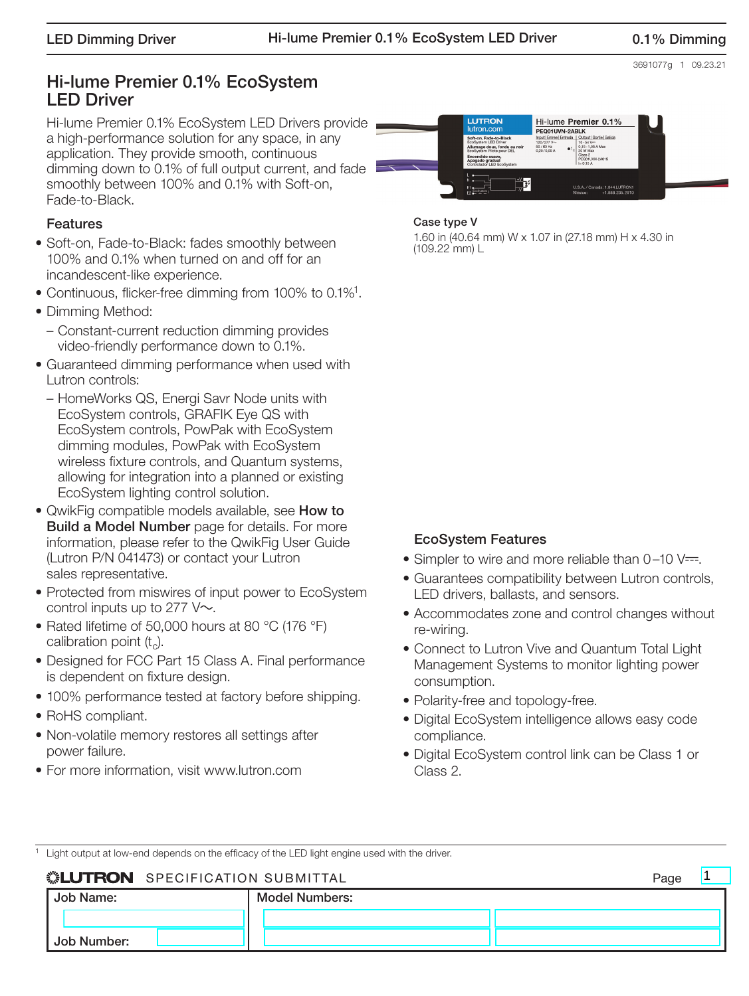3691077g 1 09.23.21

## Hi-lume Premier 0.1% EcoSystem LED Driver

Hi-lume Premier 0.1% EcoSystem LED Drivers provide a high-performance solution for any space, in any application. They provide smooth, continuous dimming down to 0.1% of full output current, and fade smoothly between 100% and 0.1% with Soft-on, Fade-to-Black.

#### Features

- Soft-on, Fade-to-Black: fades smoothly between 100% and 0.1% when turned on and off for an incandescent-like experience.
- Continuous, flicker-free dimming from 100% to 0.1%1.
- Dimming Method:
	- Constant-current reduction dimming provides video-friendly performance down to 0.1%.
- Guaranteed dimming performance when used with Lutron controls:
	- HomeWorks QS, Energi Savr Node units with EcoSystem controls, GRAFIK Eye QS with EcoSystem controls, PowPak with EcoSystem dimming modules, PowPak with EcoSystem wireless fixture controls, and Quantum systems, allowing for integration into a planned or existing EcoSystem lighting control solution.
- QwikFig compatible models available, see **How to Build a Model Number** page for details. For more information, please refer to the QwikFig User Guide (Lutron P/N 041473) or contact your Lutron sales representative.
- Protected from miswires of input power to EcoSystem control inputs up to 277  $V \sim$ .
- Rated lifetime of 50,000 hours at 80 °C (176 °F) calibration point  $(t_c)$ .
- Designed for FCC Part 15 Class A. Final performance is dependent on fixture design.
- 100% performance tested at factory before shipping.
- RoHS compliant.
- Non-volatile memory restores all settings after power failure.
- For more information, visit www.lutron.com

#### **LUTRON** Hi-lume Premier 0.1% PEQ01UVN-2ABLK  $\begin{array}{r} 120/277 \, \mathrm{V} \sim \\ 50/60 \, \mathrm{Hz} \\ 0,20/0,09 \, \mathrm{A} \end{array}$ Þ U.S.A. / Canada: 1.844.LUTRO<br>México: +1.888.235.29

#### Case type V

1.60 in (40.64 mm) W x 1.07 in (27.18 mm) H x 4.30 in (109.22 mm) L

## EcoSystem Features

- Simpler to wire and more reliable than  $0-10$  V= $=$ .
- Guarantees compatibility between Lutron controls, LED drivers, ballasts, and sensors.
- Accommodates zone and control changes without re-wiring.
- Connect to Lutron Vive and Quantum Total Light Management Systems to monitor lighting power consumption.
- Polarity-free and topology-free.
- Digital EcoSystem intelligence allows easy code compliance.
- Digital EcoSystem control link can be Class 1 or Class 2.

1

Light output at low-end depends on the efficacy of the LED light engine used with the driver.

| Job Name:   | <b>Model Numbers:</b> |  |
|-------------|-----------------------|--|
|             |                       |  |
| Job Number: |                       |  |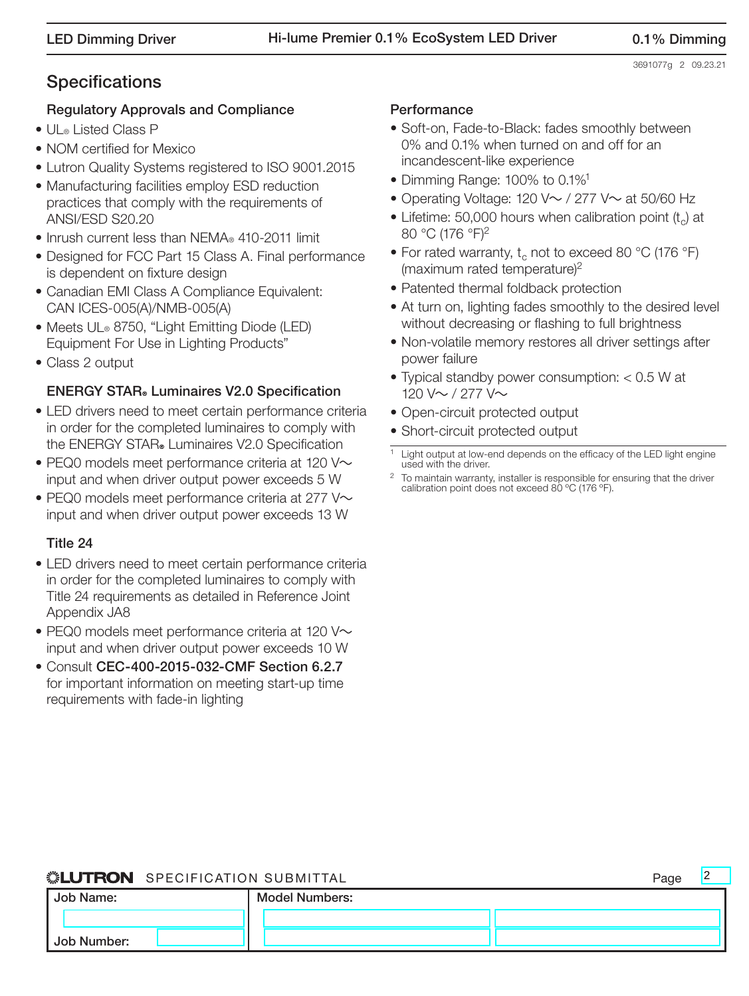## **Specifications**

## Regulatory Approvals and Compliance

- UL® Listed Class P
- NOM certified for Mexico
- Lutron Quality Systems registered to ISO 9001.2015
- Manufacturing facilities employ ESD reduction practices that comply with the requirements of ANSI/ESD S20.20
- Inrush current less than NEMA® 410-2011 limit
- Designed for FCC Part 15 Class A. Final performance is dependent on fixture design
- Canadian EMI Class A Compliance Equivalent: CAN ICES-005(A)/NMB-005(A)
- Meets UL® 8750, "Light Emitting Diode (LED) Equipment For Use in Lighting Products"
- Class 2 output

## **ENERGY STAR** Luminaires V2.0 Specification

- LED drivers need to meet certain performance criteria in order for the completed luminaires to comply with the ENERGY STAR. Luminaires V2.0 Specification
- $\bullet$  PEQ0 models meet performance criteria at 120 V $\sim$ input and when driver output power exceeds 5 W
- PEQ0 models meet performance criteria at 277  $\vee \sim$ input and when driver output power exceeds 13 W

## Title 24

- LED drivers need to meet certain performance criteria in order for the completed luminaires to comply with Title 24 requirements as detailed in Reference Joint Appendix JA8
- PEQ0 models meet performance criteria at 120  $\vee \sim$ input and when driver output power exceeds 10 W
- Consult CEC-400-2015-032-CMF Section 6.2.7 for important information on meeting start-up time requirements with fade-in lighting

## **Performance**

- Soft-on, Fade-to-Black: fades smoothly between 0% and 0.1% when turned on and off for an incandescent-like experience
- Dimming Range: 100% to 0.1%<sup>1</sup>
- Operating Voltage: 120 V $\sim$  / 277 V $\sim$  at 50/60 Hz
- Lifetime: 50,000 hours when calibration point  $(t<sub>c</sub>)$  at 80 °C (176 °F)2
- For rated warranty,  $t_c$  not to exceed 80 °C (176 °F) (maximum rated temperature)<sup>2</sup>
- Patented thermal foldback protection
- At turn on, lighting fades smoothly to the desired level without decreasing or flashing to full brightness
- Non-volatile memory restores all driver settings after power failure
- Typical standby power consumption: < 0.5 W at 120 V~ / 277 V~
- Open-circuit protected output
- Short-circuit protected output

## **SEUTRON** SPECIFICATION SUBMITTAL

| Job Name:   | <b>Model Numbers:</b> |  |  |  |
|-------------|-----------------------|--|--|--|
|             |                       |  |  |  |
| Job Number: |                       |  |  |  |

<sup>&</sup>lt;sup>1</sup> Light output at low-end depends on the efficacy of the LED light engine used with the driver.

<sup>&</sup>lt;sup>2</sup> To maintain warranty, installer is responsible for ensuring that the driver calibration point does not exceed 80 ºC (176 ºF).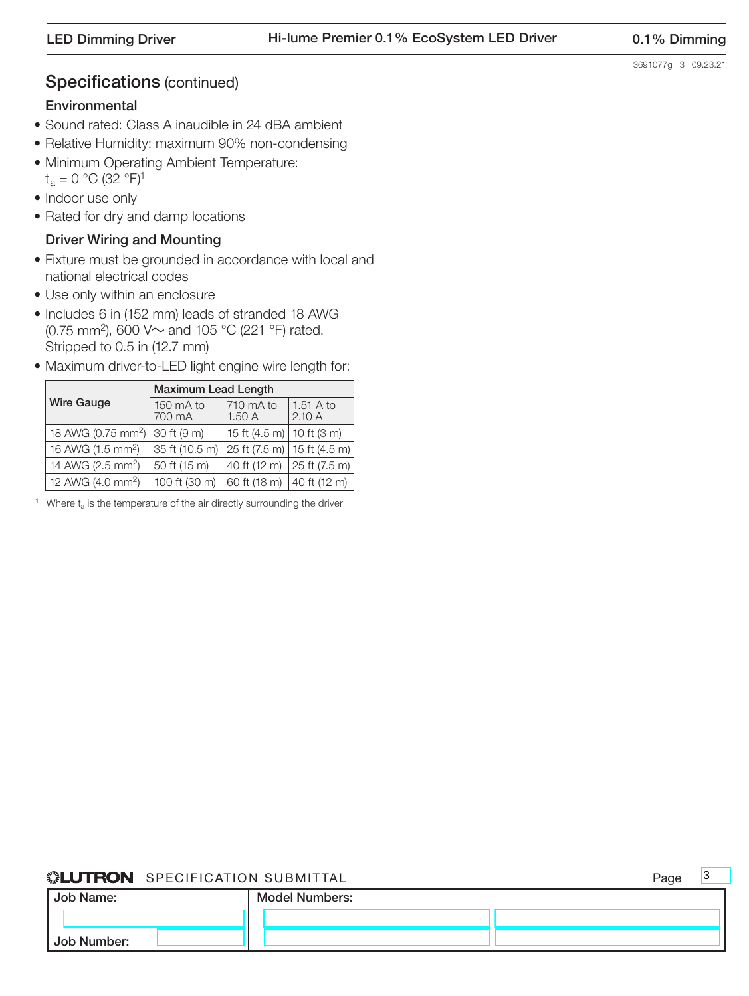## Specifications (continued)

## **Environmental**

- Sound rated: Class A inaudible in 24 dBA ambient
- Relative Humidity: maximum 90% non-condensing
- Minimum Operating Ambient Temperature:<br>  $t_a = 0$  °C (32 °F)<sup>1</sup>
- Indoor use only
- Rated for dry and damp locations

### Driver Wiring and Mounting

- Fixture must be grounded in accordance with local and national electrical codes
- Use only within an enclosure
- Includes 6 in (152 mm) leads of stranded 18 AWG (0.75 mm<sup>2</sup>), 600 V $\sim$  and 105 °C (221 °F) rated. Stripped to 0.5 in (12.7 mm)
- Maximum driver-to-LED light engine wire length for:

|                                | <b>Maximum Lead Length</b> |                                                                   |                    |  |  |  |
|--------------------------------|----------------------------|-------------------------------------------------------------------|--------------------|--|--|--|
| <b>Wire Gauge</b>              | 150 mA to<br>700 mA        | 710 mA to<br>1.50A                                                | 1.51 A to<br>2.10A |  |  |  |
| 18 AWG (0.75 mm <sup>2</sup> ) | 30 ft (9 m)                | 15 ft $(4.5 \text{ m})$ 10 ft $(3 \text{ m})$                     |                    |  |  |  |
| 16 AWG (1.5 mm <sup>2</sup> )  | 35 ft (10.5 m)             | $ 25 \text{ ft } (7.5 \text{ m})  15 \text{ ft } (4.5 \text{ m})$ |                    |  |  |  |
| 14 AWG (2.5 mm <sup>2</sup> )  | 50 ft (15 m)               | 40 ft (12 m) 25 ft (7.5 m)                                        |                    |  |  |  |
| 12 AWG (4.0 mm <sup>2</sup> )  | 100 ft (30 m)              | 60 ft (18 m)   40 ft (12 m)                                       |                    |  |  |  |

<sup>1</sup> Where  $t_a$  is the temperature of the air directly surrounding the driver

## ® SPECIFICATION SUBMITTAL Page

Job Name: Job Number: Model Numbers: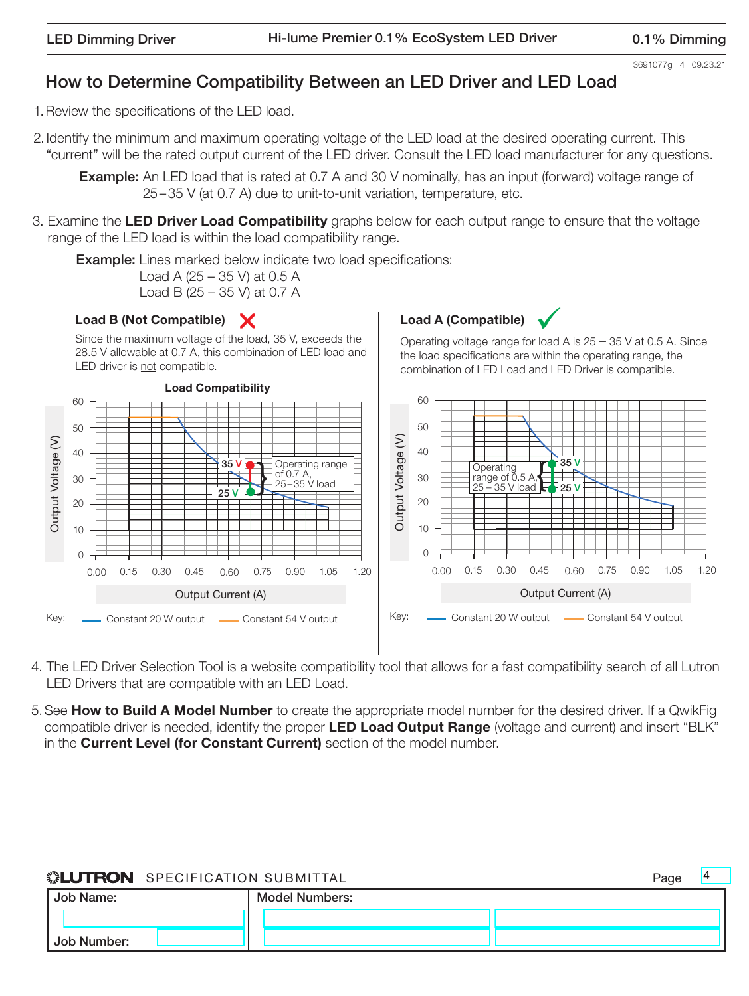## How to Determine Compatibility Between an LED Driver and LED Load

1.Review the specifications of the LED load.

2. Identify the minimum and maximum operating voltage of the LED load at the desired operating current. This "current" will be the rated output current of the LED driver. Consult the LED load manufacturer for any questions.

**Example:** An LED load that is rated at 0.7 A and 30 V nominally, has an input (forward) voltage range of 25–35 V (at 0.7 A) due to unit-to-unit variation, temperature, etc.

3. Examine the LED Driver Load Compatibility graphs below for each output range to ensure that the voltage range of the LED load is within the load compatibility range.

**Example:** Lines marked below indicate two load specifications:

Load A (25 – 35 V) at 0.5 A Load B (25 – 35 V) at 0.7 A

## Load B (Not Compatible) X

Since the maximum voltage of the load, 35 V, exceeds the 28.5 V allowable at 0.7 A, this combination of LED load and LED driver is not compatible.



# $\overline{\mathsf{X}}$  Load A (Compatible)  $\overline{\mathsf{Y}}$

Operating voltage range for load A is 25 – 35 V at 0.5 A. Since the load specifications are within the operating range, the combination of LED Load and LED Driver is compatible.



- 4. The LED Driver Selection Tool is a website compatibility tool that allows for a fast compatibility search of all Lutron LED Drivers that are compatible with an LED Load.
- 5. See How to Build A Model Number to create the appropriate model number for the desired driver. If a QwikFig compatible driver is needed, identify the proper LED Load Output Range (voltage and current) and insert "BLK" in the **Current Level (for Constant Current)** section of the model number.

| Job Name:   | <b>Model Numbers:</b> |  |
|-------------|-----------------------|--|
|             |                       |  |
| Job Number: |                       |  |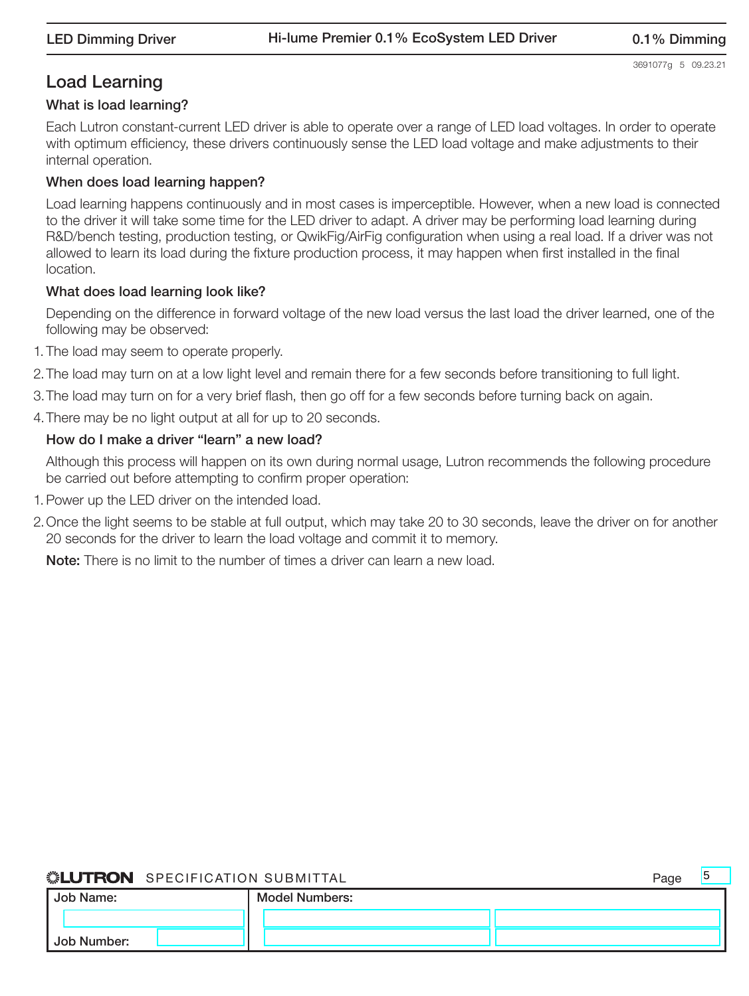## Load Learning

#### What is load learning?

Each Lutron constant-current LED driver is able to operate over a range of LED load voltages. In order to operate with optimum efficiency, these drivers continuously sense the LED load voltage and make adjustments to their internal operation.

## When does load learning happen?

Load learning happens continuously and in most cases is imperceptible. However, when a new load is connected to the driver it will take some time for the LED driver to adapt. A driver may be performing load learning during R&D/bench testing, production testing, or QwikFig/AirFig configuration when using a real load. If a driver was not allowed to learn its load during the fixture production process, it may happen when first installed in the final location.

## What does load learning look like?

Depending on the difference in forward voltage of the new load versus the last load the driver learned, one of the following may be observed:

- 1. The load may seem to operate properly.
- 2.The load may turn on at a low light level and remain there for a few seconds before transitioning to full light.
- 3.The load may turn on for a very brief flash, then go off for a few seconds before turning back on again.
- 4.There may be no light output at all for up to 20 seconds.

## How do I make a driver "learn" a new load?

Although this process will happen on its own during normal usage, Lutron recommends the following procedure be carried out before attempting to confirm proper operation:

- 1.Power up the LED driver on the intended load.
- 2.Once the light seems to be stable at full output, which may take 20 to 30 seconds, leave the driver on for another 20 seconds for the driver to learn the load voltage and commit it to memory.

Note: There is no limit to the number of times a driver can learn a new load.

| Job Name:          | <b>Model Numbers:</b> |  |
|--------------------|-----------------------|--|
|                    |                       |  |
| <b>Job Number:</b> |                       |  |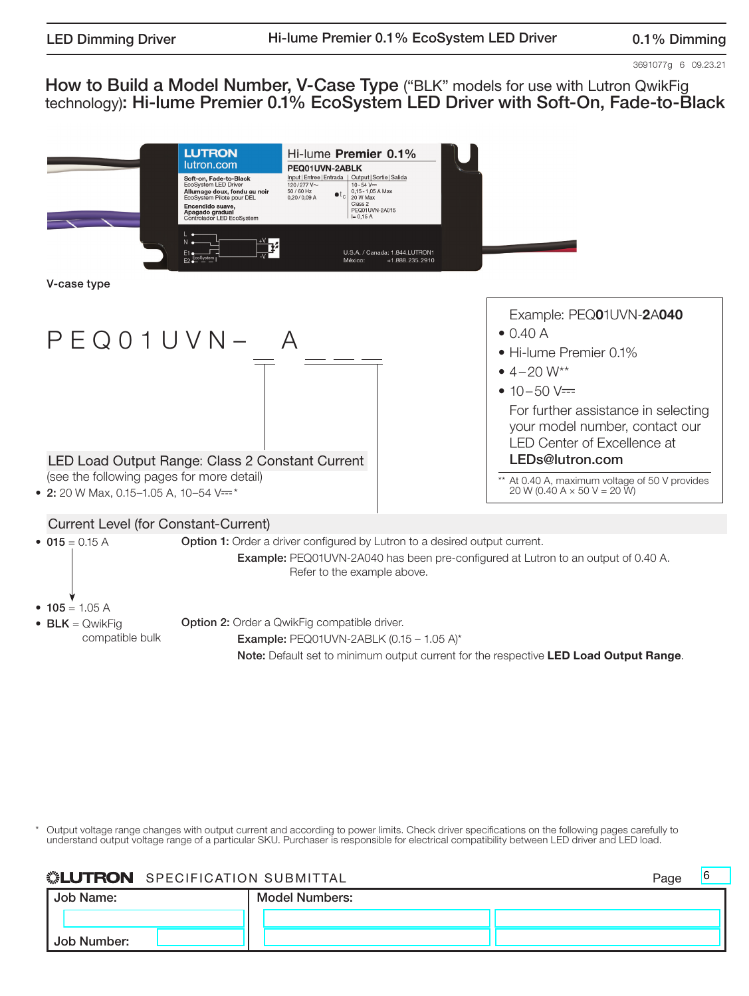3691077g 6 09.23.21

How to Build a Model Number, V-Case Type ("BLK" models for use with Lutron QwikFig technology): Hi-lume Premier 0.1% EcoSystem LED Driver with Soft-On, Fade-to-Black



Output voltage range changes with output current and according to power limits. Check driver specifications on the following pages carefully to understand output voltage range of a particular SKU. Purchaser is responsible for electrical compatibility between LED driver and LED load.

## **LUTRON** SPECIFICATION SUBMITTAL

| Job Name:   | <b>Model Numbers:</b> |  |
|-------------|-----------------------|--|
|             |                       |  |
| Job Number: |                       |  |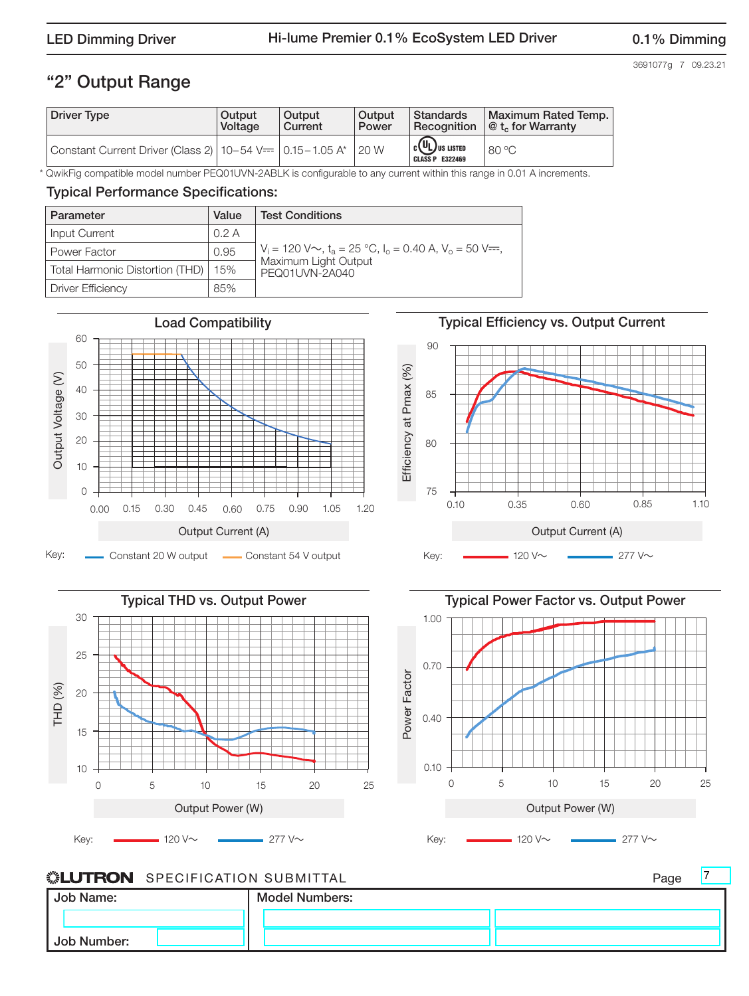3691077g 7 09.23.21

## "2" Output Range

| <b>Driver Type</b>                                                              | Output  | Output  | Output | <b>Standards</b>                                               | Maximum Rated Temp.                       |
|---------------------------------------------------------------------------------|---------|---------|--------|----------------------------------------------------------------|-------------------------------------------|
|                                                                                 | Voltage | Current | Power  | l Recoanition                                                  | $\mathcal{Q}$ t <sub>c</sub> for Warranty |
| Constant Current Driver (Class 2)   10-54 V== $\vert$ 0.15-1.05 A* $\vert$ 20 W |         |         |        | $\mathbf{C}(\mathbf{U}_L)$ us listed<br><b>CLASS P E322469</b> | $80^{\circ}$ C                            |

\* QwikFig compatible model number PEQ01UVN-2ABLK is configurable to any current within this range in 0.01 A increments.

## Typical Performance Specifications:

| Parameter                       | Value | <b>Test Conditions</b>                                                                           |
|---------------------------------|-------|--------------------------------------------------------------------------------------------------|
| Input Current                   | 0.2A  |                                                                                                  |
| <b>Power Factor</b>             | 0.95  | $V_i = 120$ V $\sim$ , t <sub>a</sub> = 25 °C, l <sub>o</sub> = 0.40 A, V <sub>o</sub> = 50 V==, |
| Total Harmonic Distortion (THD) | 15%   | Maximum Light Output<br>PEQ01UVN-2A040                                                           |
| <b>Driver Efficiency</b>        | 85%   |                                                                                                  |



## Typical Efficiency vs. Output Current







7

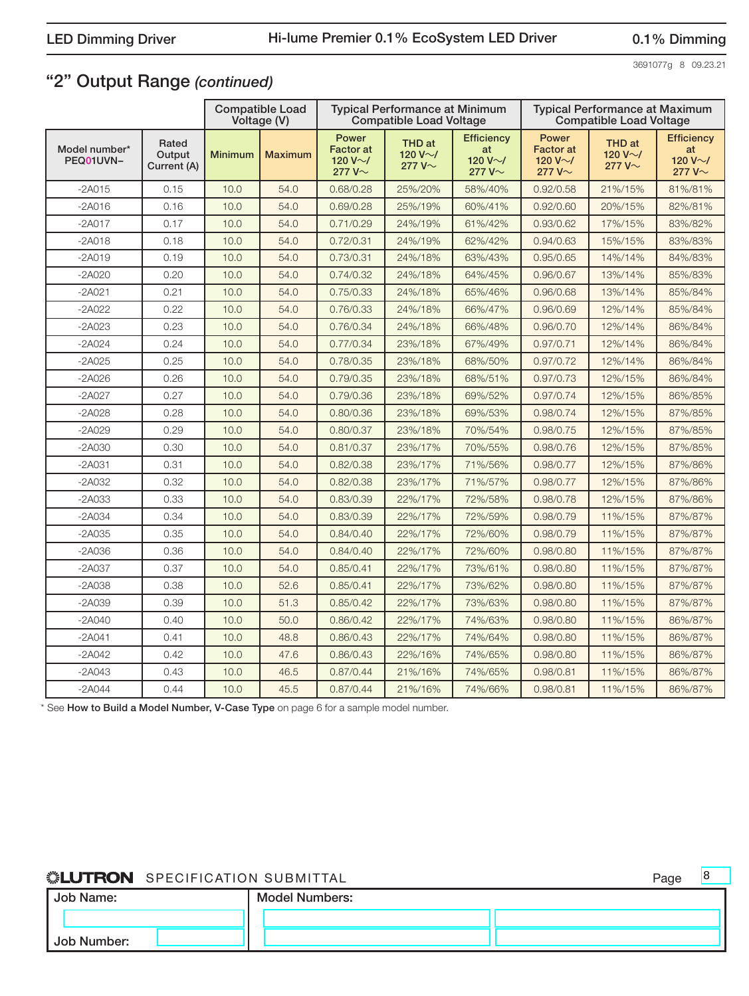3691077g 8 09.23.21

8

## "2" Output Range *(continued)*

|                            |                                |                | <b>Compatible Load</b><br>Voltage (V) |                                                             | <b>Typical Performance at Minimum</b><br><b>Compatible Load Voltage</b> |                                                           |                                                             | <b>Typical Performance at Maximum</b><br><b>Compatible Load Voltage</b> |                                                           |
|----------------------------|--------------------------------|----------------|---------------------------------------|-------------------------------------------------------------|-------------------------------------------------------------------------|-----------------------------------------------------------|-------------------------------------------------------------|-------------------------------------------------------------------------|-----------------------------------------------------------|
| Model number*<br>PEQ01UVN- | Rated<br>Output<br>Current (A) | <b>Minimum</b> | <b>Maximum</b>                        | Power<br><b>Factor</b> at<br>120 V $\sim$ /<br>277 $V \sim$ | THD at<br>120 V $\sim$ /<br>277 $V \sim$                                | <b>Efficiency</b><br>at<br>120 V $\sim$ /<br>277 V $\sim$ | Power<br><b>Factor</b> at<br>120 V $\sim$ /<br>277 $V \sim$ | THD at<br>120 V $\sim$ /<br>277 $V \sim$                                | <b>Efficiency</b><br>at<br>120 V $\sim$ /<br>277 $V \sim$ |
| $-2A015$                   | 0.15                           | 10.0           | 54.0                                  | 0.68/0.28                                                   | 25%/20%                                                                 | 58%/40%                                                   | 0.92/0.58                                                   | 21%/15%                                                                 | 81%/81%                                                   |
| $-2A016$                   | 0.16                           | 10.0           | 54.0                                  | 0.69/0.28                                                   | 25%/19%                                                                 | 60%/41%                                                   | 0.92/0.60                                                   | 20%/15%                                                                 | 82%/81%                                                   |
| $-2A017$                   | 0.17                           | 10.0           | 54.0                                  | 0.71/0.29                                                   | 24%/19%                                                                 | 61%/42%                                                   | 0.93/0.62                                                   | 17%/15%                                                                 | 83%/82%                                                   |
| $-2A018$                   | 0.18                           | 10.0           | 54.0                                  | 0.72/0.31                                                   | 24%/19%                                                                 | 62%/42%                                                   | 0.94/0.63                                                   | 15%/15%                                                                 | 83%/83%                                                   |
| $-2A019$                   | 0.19                           | 10.0           | 54.0                                  | 0.73/0.31                                                   | 24%/18%                                                                 | 63%/43%                                                   | 0.95/0.65                                                   | 14%/14%                                                                 | 84%/83%                                                   |
| $-2A020$                   | 0.20                           | 10.0           | 54.0                                  | 0.74/0.32                                                   | 24%/18%                                                                 | 64%/45%                                                   | 0.96/0.67                                                   | 13%/14%                                                                 | 85%/83%                                                   |
| $-2A021$                   | 0.21                           | 10.0           | 54.0                                  | 0.75/0.33                                                   | 24%/18%                                                                 | 65%/46%                                                   | 0.96/0.68                                                   | 13%/14%                                                                 | 85%/84%                                                   |
| $-2A022$                   | 0.22                           | 10.0           | 54.0                                  | 0.76/0.33                                                   | 24%/18%                                                                 | 66%/47%                                                   | 0.96/0.69                                                   | 12%/14%                                                                 | 85%/84%                                                   |
| $-2A023$                   | 0.23                           | 10.0           | 54.0                                  | 0.76/0.34                                                   | 24%/18%                                                                 | 66%/48%                                                   | 0.96/0.70                                                   | 12%/14%                                                                 | 86%/84%                                                   |
| $-2A024$                   | 0.24                           | 10.0           | 54.0                                  | 0.77/0.34                                                   | 23%/18%                                                                 | 67%/49%                                                   | 0.97/0.71                                                   | 12%/14%                                                                 | 86%/84%                                                   |
| $-2A025$                   | 0.25                           | 10.0           | 54.0                                  | 0.78/0.35                                                   | 23%/18%                                                                 | 68%/50%                                                   | 0.97/0.72                                                   | 12%/14%                                                                 | 86%/84%                                                   |
| $-2A026$                   | 0.26                           | 10.0           | 54.0                                  | 0.79/0.35                                                   | 23%/18%                                                                 | 68%/51%                                                   | 0.97/0.73                                                   | 12%/15%                                                                 | 86%/84%                                                   |
| $-2A027$                   | 0.27                           | 10.0           | 54.0                                  | 0.79/0.36                                                   | 23%/18%                                                                 | 69%/52%                                                   | 0.97/0.74                                                   | 12%/15%                                                                 | 86%/85%                                                   |
| $-2A028$                   | 0.28                           | 10.0           | 54.0                                  | 0.80/0.36                                                   | 23%/18%                                                                 | 69%/53%                                                   | 0.98/0.74                                                   | 12%/15%                                                                 | 87%/85%                                                   |
| $-2A029$                   | 0.29                           | 10.0           | 54.0                                  | 0.80/0.37                                                   | 23%/18%                                                                 | 70%/54%                                                   | 0.98/0.75                                                   | 12%/15%                                                                 | 87%/85%                                                   |
| -2A030                     | 0.30                           | 10.0           | 54.0                                  | 0.81/0.37                                                   | 23%/17%                                                                 | 70%/55%                                                   | 0.98/0.76                                                   | 12%/15%                                                                 | 87%/85%                                                   |
| $-2A031$                   | 0.31                           | 10.0           | 54.0                                  | 0.82/0.38                                                   | 23%/17%                                                                 | 71%/56%                                                   | 0.98/0.77                                                   | 12%/15%                                                                 | 87%/86%                                                   |
| $-2A032$                   | 0.32                           | 10.0           | 54.0                                  | 0.82/0.38                                                   | 23%/17%                                                                 | 71%/57%                                                   | 0.98/0.77                                                   | 12%/15%                                                                 | 87%/86%                                                   |
| $-2A033$                   | 0.33                           | 10.0           | 54.0                                  | 0.83/0.39                                                   | 22%/17%                                                                 | 72%/58%                                                   | 0.98/0.78                                                   | 12%/15%                                                                 | 87%/86%                                                   |
| $-2A034$                   | 0.34                           | 10.0           | 54.0                                  | 0.83/0.39                                                   | 22%/17%                                                                 | 72%/59%                                                   | 0.98/0.79                                                   | 11%/15%                                                                 | 87%/87%                                                   |
| $-2A035$                   | 0.35                           | 10.0           | 54.0                                  | 0.84/0.40                                                   | 22%/17%                                                                 | 72%/60%                                                   | 0.98/0.79                                                   | 11%/15%                                                                 | 87%/87%                                                   |
| $-2A036$                   | 0.36                           | 10.0           | 54.0                                  | 0.84/0.40                                                   | 22%/17%                                                                 | 72%/60%                                                   | 0.98/0.80                                                   | 11%/15%                                                                 | 87%/87%                                                   |
| $-2A037$                   | 0.37                           | 10.0           | 54.0                                  | 0.85/0.41                                                   | 22%/17%                                                                 | 73%/61%                                                   | 0.98/0.80                                                   | 11%/15%                                                                 | 87%/87%                                                   |
| $-2A038$                   | 0.38                           | 10.0           | 52.6                                  | 0.85/0.41                                                   | 22%/17%                                                                 | 73%/62%                                                   | 0.98/0.80                                                   | 11%/15%                                                                 | 87%/87%                                                   |
| $-2A039$                   | 0.39                           | 10.0           | 51.3                                  | 0.85/0.42                                                   | 22%/17%                                                                 | 73%/63%                                                   | 0.98/0.80                                                   | 11%/15%                                                                 | 87%/87%                                                   |
| $-2A040$                   | 0.40                           | 10.0           | 50.0                                  | 0.86/0.42                                                   | 22%/17%                                                                 | 74%/63%                                                   | 0.98/0.80                                                   | 11%/15%                                                                 | 86%/87%                                                   |
| $-2A041$                   | 0.41                           | 10.0           | 48.8                                  | 0.86/0.43                                                   | 22%/17%                                                                 | 74%/64%                                                   | 0.98/0.80                                                   | 11%/15%                                                                 | 86%/87%                                                   |
| $-2A042$                   | 0.42                           | 10.0           | 47.6                                  | 0.86/0.43                                                   | 22%/16%                                                                 | 74%/65%                                                   | 0.98/0.80                                                   | 11%/15%                                                                 | 86%/87%                                                   |
| $-2A043$                   | 0.43                           | 10.0           | 46.5                                  | 0.87/0.44                                                   | 21%/16%                                                                 | 74%/65%                                                   | 0.98/0.81                                                   | 11%/15%                                                                 | 86%/87%                                                   |
| $-2A044$                   | 0.44                           | 10.0           | 45.5                                  | 0.87/0.44                                                   | 21%/16%                                                                 | 74%/66%                                                   | 0.98/0.81                                                   | 11%/15%                                                                 | 86%/87%                                                   |

\* See How to Build a Model Number, V-Case Type on page 6 for a sample model number.

| Job Name:   | <b>Model Numbers:</b> |  |
|-------------|-----------------------|--|
|             |                       |  |
| Job Number: |                       |  |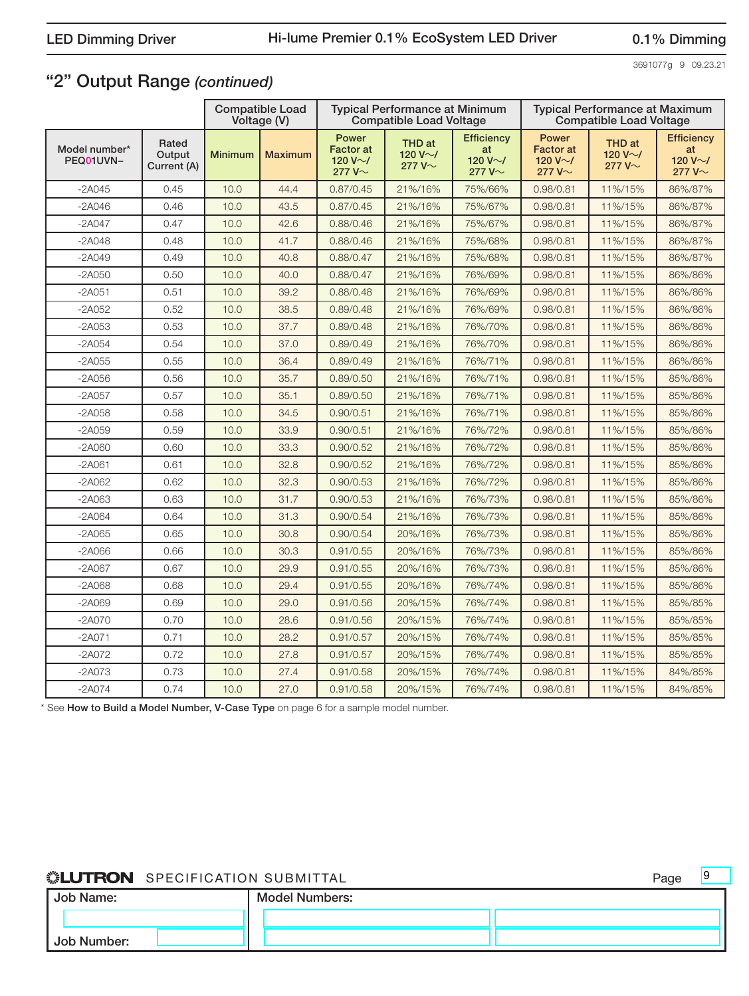3691077g 9 09.23.21

9

## "2" Output Range *(continued)*

|                            |                                |                | <b>Compatible Load</b><br>Voltage (V) |                                                             | <b>Typical Performance at Minimum</b><br><b>Compatible Load Voltage</b> |                                                           |                                                             | <b>Typical Performance at Maximum</b><br><b>Compatible Load Voltage</b> |                                                           |
|----------------------------|--------------------------------|----------------|---------------------------------------|-------------------------------------------------------------|-------------------------------------------------------------------------|-----------------------------------------------------------|-------------------------------------------------------------|-------------------------------------------------------------------------|-----------------------------------------------------------|
| Model number*<br>PEQ01UVN- | Rated<br>Output<br>Current (A) | <b>Minimum</b> | <b>Maximum</b>                        | Power<br><b>Factor</b> at<br>120 V $\sim$ /<br>277 $V \sim$ | THD at<br>120 V $\sim$ /<br>277 $V \sim$                                | <b>Efficiency</b><br>at<br>120 V $\sim$ /<br>277 V $\sim$ | Power<br><b>Factor</b> at<br>120 V $\sim$ /<br>277 $V \sim$ | THD at<br>120 V $\sim$ /<br>277 $V \sim$                                | <b>Efficiency</b><br>at<br>120 V $\sim$ /<br>277 $V \sim$ |
| $-2A045$                   | 0.45                           | 10.0           | 44.4                                  | 0.87/0.45                                                   | 21%/16%                                                                 | 75%/66%                                                   | 0.98/0.81                                                   | 11%/15%                                                                 | 86%/87%                                                   |
| $-2A046$                   | 0.46                           | 10.0           | 43.5                                  | 0.87/0.45                                                   | 21%/16%                                                                 | 75%/67%                                                   | 0.98/0.81                                                   | 11%/15%                                                                 | 86%/87%                                                   |
| $-2A047$                   | 0.47                           | 10.0           | 42.6                                  | 0.88/0.46                                                   | 21%/16%                                                                 | 75%/67%                                                   | 0.98/0.81                                                   | 11%/15%                                                                 | 86%/87%                                                   |
| $-2A048$                   | 0.48                           | 10.0           | 41.7                                  | 0.88/0.46                                                   | 21%/16%                                                                 | 75%/68%                                                   | 0.98/0.81                                                   | 11%/15%                                                                 | 86%/87%                                                   |
| $-2A049$                   | 0.49                           | 10.0           | 40.8                                  | 0.88/0.47                                                   | 21%/16%                                                                 | 75%/68%                                                   | 0.98/0.81                                                   | 11%/15%                                                                 | 86%/87%                                                   |
| $-2A050$                   | 0.50                           | 10.0           | 40.0                                  | 0.88/0.47                                                   | 21%/16%                                                                 | 76%/69%                                                   | 0.98/0.81                                                   | 11%/15%                                                                 | 86%/86%                                                   |
| $-2A051$                   | 0.51                           | 10.0           | 39.2                                  | 0.88/0.48                                                   | 21%/16%                                                                 | 76%/69%                                                   | 0.98/0.81                                                   | 11%/15%                                                                 | 86%/86%                                                   |
| $-2A052$                   | 0.52                           | 10.0           | 38.5                                  | 0.89/0.48                                                   | 21%/16%                                                                 | 76%/69%                                                   | 0.98/0.81                                                   | 11%/15%                                                                 | 86%/86%                                                   |
| $-2A053$                   | 0.53                           | 10.0           | 37.7                                  | 0.89/0.48                                                   | 21%/16%                                                                 | 76%/70%                                                   | 0.98/0.81                                                   | 11%/15%                                                                 | 86%/86%                                                   |
| $-2A054$                   | 0.54                           | 10.0           | 37.0                                  | 0.89/0.49                                                   | 21%/16%                                                                 | 76%/70%                                                   | 0.98/0.81                                                   | 11%/15%                                                                 | 86%/86%                                                   |
| $-2A055$                   | 0.55                           | 10.0           | 36.4                                  | 0.89/0.49                                                   | 21%/16%                                                                 | 76%/71%                                                   | 0.98/0.81                                                   | 11%/15%                                                                 | 86%/86%                                                   |
| $-2A056$                   | 0.56                           | 10.0           | 35.7                                  | 0.89/0.50                                                   | 21%/16%                                                                 | 76%/71%                                                   | 0.98/0.81                                                   | 11%/15%                                                                 | 85%/86%                                                   |
| $-2A057$                   | 0.57                           | 10.0           | 35.1                                  | 0.89/0.50                                                   | 21%/16%                                                                 | 76%/71%                                                   | 0.98/0.81                                                   | 11%/15%                                                                 | 85%/86%                                                   |
| $-2A058$                   | 0.58                           | 10.0           | 34.5                                  | 0.90/0.51                                                   | 21%/16%                                                                 | 76%/71%                                                   | 0.98/0.81                                                   | 11%/15%                                                                 | 85%/86%                                                   |
| $-2A059$                   | 0.59                           | 10.0           | 33.9                                  | 0.90/0.51                                                   | 21%/16%                                                                 | 76%/72%                                                   | 0.98/0.81                                                   | 11%/15%                                                                 | 85%/86%                                                   |
| $-2A060$                   | 0.60                           | 10.0           | 33.3                                  | 0.90/0.52                                                   | 21%/16%                                                                 | 76%/72%                                                   | 0.98/0.81                                                   | 11%/15%                                                                 | 85%/86%                                                   |
| $-2A061$                   | 0.61                           | 10.0           | 32.8                                  | 0.90/0.52                                                   | 21%/16%                                                                 | 76%/72%                                                   | 0.98/0.81                                                   | 11%/15%                                                                 | 85%/86%                                                   |
| $-2A062$                   | 0.62                           | 10.0           | 32.3                                  | 0.90/0.53                                                   | 21%/16%                                                                 | 76%/72%                                                   | 0.98/0.81                                                   | 11%/15%                                                                 | 85%/86%                                                   |
| -2A063                     | 0.63                           | 10.0           | 31.7                                  | 0.90/0.53                                                   | 21%/16%                                                                 | 76%/73%                                                   | 0.98/0.81                                                   | 11%/15%                                                                 | 85%/86%                                                   |
| $-2A064$                   | 0.64                           | 10.0           | 31.3                                  | 0.90/0.54                                                   | 21%/16%                                                                 | 76%/73%                                                   | 0.98/0.81                                                   | 11%/15%                                                                 | 85%/86%                                                   |
| $-2A065$                   | 0.65                           | 10.0           | 30.8                                  | 0.90/0.54                                                   | 20%/16%                                                                 | 76%/73%                                                   | 0.98/0.81                                                   | 11%/15%                                                                 | 85%/86%                                                   |
| $-2A066$                   | 0.66                           | 10.0           | 30.3                                  | 0.91/0.55                                                   | 20%/16%                                                                 | 76%/73%                                                   | 0.98/0.81                                                   | 11%/15%                                                                 | 85%/86%                                                   |
| $-2A067$                   | 0.67                           | 10.0           | 29.9                                  | 0.91/0.55                                                   | 20%/16%                                                                 | 76%/73%                                                   | 0.98/0.81                                                   | 11%/15%                                                                 | 85%/86%                                                   |
| $-2A068$                   | 0.68                           | 10.0           | 29.4                                  | 0.91/0.55                                                   | 20%/16%                                                                 | 76%/74%                                                   | 0.98/0.81                                                   | 11%/15%                                                                 | 85%/86%                                                   |
| $-2A069$                   | 0.69                           | 10.0           | 29.0                                  | 0.91/0.56                                                   | 20%/15%                                                                 | 76%/74%                                                   | 0.98/0.81                                                   | 11%/15%                                                                 | 85%/85%                                                   |
| -2A070                     | 0.70                           | 10.0           | 28.6                                  | 0.91/0.56                                                   | 20%/15%                                                                 | 76%/74%                                                   | 0.98/0.81                                                   | 11%/15%                                                                 | 85%/85%                                                   |
| $-2A071$                   | 0.71                           | 10.0           | 28.2                                  | 0.91/0.57                                                   | 20%/15%                                                                 | 76%/74%                                                   | 0.98/0.81                                                   | 11%/15%                                                                 | 85%/85%                                                   |
| $-2A072$                   | 0.72                           | 10.0           | 27.8                                  | 0.91/0.57                                                   | 20%/15%                                                                 | 76%/74%                                                   | 0.98/0.81                                                   | 11%/15%                                                                 | 85%/85%                                                   |
| $-2A073$                   | 0.73                           | 10.0           | 27.4                                  | 0.91/0.58                                                   | 20%/15%                                                                 | 76%/74%                                                   | 0.98/0.81                                                   | 11%/15%                                                                 | 84%/85%                                                   |
| $-2A074$                   | 0.74                           | 10.0           | 27.0                                  | 0.91/0.58                                                   | 20%/15%                                                                 | 76%/74%                                                   | 0.98/0.81                                                   | 11%/15%                                                                 | 84%/85%                                                   |

\* See How to Build a Model Number, V-Case Type on page 6 for a sample model number.

| Job Name:   | <b>Model Numbers:</b> |  |
|-------------|-----------------------|--|
|             |                       |  |
| Job Number: |                       |  |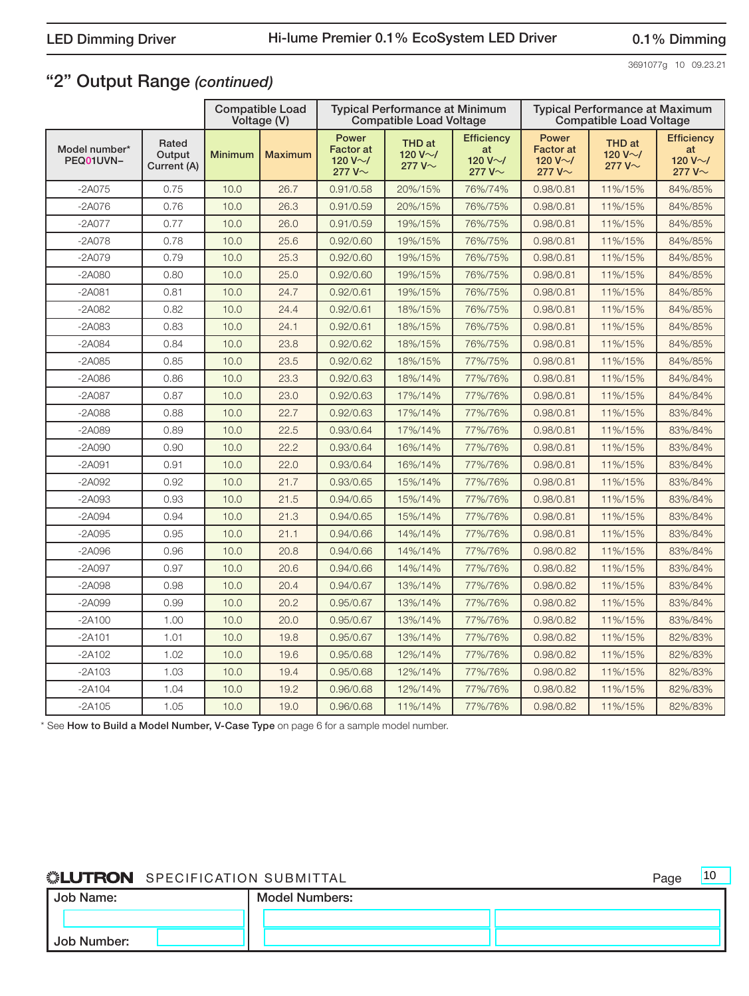3691077g 10 09.23.21

10

## "2" Output Range *(continued)*

|                            |                                |                | <b>Compatible Load</b><br>Voltage (V) |                                                             | <b>Typical Performance at Minimum</b><br><b>Compatible Load Voltage</b> |                                                           |                                                             | <b>Typical Performance at Maximum</b><br><b>Compatible Load Voltage</b> |                                                           |
|----------------------------|--------------------------------|----------------|---------------------------------------|-------------------------------------------------------------|-------------------------------------------------------------------------|-----------------------------------------------------------|-------------------------------------------------------------|-------------------------------------------------------------------------|-----------------------------------------------------------|
| Model number*<br>PEQ01UVN- | Rated<br>Output<br>Current (A) | <b>Minimum</b> | <b>Maximum</b>                        | Power<br><b>Factor</b> at<br>120 V $\sim$ /<br>277 $V \sim$ | THD at<br>120 V $\sim$ /<br>277 $V \sim$                                | <b>Efficiency</b><br>at<br>120 V $\sim$ /<br>277 $V \sim$ | Power<br><b>Factor</b> at<br>120 V $\sim$ /<br>277 $V \sim$ | <b>THD</b> at<br>120 V $\sim$ /<br>277 $V \sim$                         | <b>Efficiency</b><br>at<br>120 V $\sim$ /<br>277 $V \sim$ |
| $-2A075$                   | 0.75                           | 10.0           | 26.7                                  | 0.91/0.58                                                   | 20%/15%                                                                 | 76%/74%                                                   | 0.98/0.81                                                   | 11%/15%                                                                 | 84%/85%                                                   |
| $-2A076$                   | 0.76                           | 10.0           | 26.3                                  | 0.91/0.59                                                   | 20%/15%                                                                 | 76%/75%                                                   | 0.98/0.81                                                   | 11%/15%                                                                 | 84%/85%                                                   |
| $-2A077$                   | 0.77                           | 10.0           | 26.0                                  | 0.91/0.59                                                   | 19%/15%                                                                 | 76%/75%                                                   | 0.98/0.81                                                   | 11%/15%                                                                 | 84%/85%                                                   |
| $-2A078$                   | 0.78                           | 10.0           | 25.6                                  | 0.92/0.60                                                   | 19%/15%                                                                 | 76%/75%                                                   | 0.98/0.81                                                   | 11%/15%                                                                 | 84%/85%                                                   |
| $-2A079$                   | 0.79                           | 10.0           | 25.3                                  | 0.92/0.60                                                   | 19%/15%                                                                 | 76%/75%                                                   | 0.98/0.81                                                   | 11%/15%                                                                 | 84%/85%                                                   |
| $-2A080$                   | 0.80                           | 10.0           | 25.0                                  | 0.92/0.60                                                   | 19%/15%                                                                 | 76%/75%                                                   | 0.98/0.81                                                   | 11%/15%                                                                 | 84%/85%                                                   |
| $-2A081$                   | 0.81                           | 10.0           | 24.7                                  | 0.92/0.61                                                   | 19%/15%                                                                 | 76%/75%                                                   | 0.98/0.81                                                   | 11%/15%                                                                 | 84%/85%                                                   |
| $-2A082$                   | 0.82                           | 10.0           | 24.4                                  | 0.92/0.61                                                   | 18%/15%                                                                 | 76%/75%                                                   | 0.98/0.81                                                   | 11%/15%                                                                 | 84%/85%                                                   |
| $-2A083$                   | 0.83                           | 10.0           | 24.1                                  | 0.92/0.61                                                   | 18%/15%                                                                 | 76%/75%                                                   | 0.98/0.81                                                   | 11%/15%                                                                 | 84%/85%                                                   |
| $-2A084$                   | 0.84                           | 10.0           | 23.8                                  | 0.92/0.62                                                   | 18%/15%                                                                 | 76%/75%                                                   | 0.98/0.81                                                   | 11%/15%                                                                 | 84%/85%                                                   |
| $-2A085$                   | 0.85                           | 10.0           | 23.5                                  | 0.92/0.62                                                   | 18%/15%                                                                 | 77%/75%                                                   | 0.98/0.81                                                   | 11%/15%                                                                 | 84%/85%                                                   |
| $-2A086$                   | 0.86                           | 10.0           | 23.3                                  | 0.92/0.63                                                   | 18%/14%                                                                 | 77%/76%                                                   | 0.98/0.81                                                   | 11%/15%                                                                 | 84%/84%                                                   |
| $-2A087$                   | 0.87                           | 10.0           | 23.0                                  | 0.92/0.63                                                   | 17%/14%                                                                 | 77%/76%                                                   | 0.98/0.81                                                   | 11%/15%                                                                 | 84%/84%                                                   |
| $-2A088$                   | 0.88                           | 10.0           | 22.7                                  | 0.92/0.63                                                   | 17%/14%                                                                 | 77%/76%                                                   | 0.98/0.81                                                   | 11%/15%                                                                 | 83%/84%                                                   |
| $-2A089$                   | 0.89                           | 10.0           | 22.5                                  | 0.93/0.64                                                   | 17%/14%                                                                 | 77%/76%                                                   | 0.98/0.81                                                   | 11%/15%                                                                 | 83%/84%                                                   |
| $-2A090$                   | 0.90                           | 10.0           | 22.2                                  | 0.93/0.64                                                   | 16%/14%                                                                 | 77%/76%                                                   | 0.98/0.81                                                   | 11%/15%                                                                 | 83%/84%                                                   |
| $-2A091$                   | 0.91                           | 10.0           | 22.0                                  | 0.93/0.64                                                   | 16%/14%                                                                 | 77%/76%                                                   | 0.98/0.81                                                   | 11%/15%                                                                 | 83%/84%                                                   |
| $-2A092$                   | 0.92                           | 10.0           | 21.7                                  | 0.93/0.65                                                   | 15%/14%                                                                 | 77%/76%                                                   | 0.98/0.81                                                   | 11%/15%                                                                 | 83%/84%                                                   |
| $-2A093$                   | 0.93                           | 10.0           | 21.5                                  | 0.94/0.65                                                   | 15%/14%                                                                 | 77%/76%                                                   | 0.98/0.81                                                   | 11%/15%                                                                 | 83%/84%                                                   |
| $-2A094$                   | 0.94                           | 10.0           | 21.3                                  | 0.94/0.65                                                   | 15%/14%                                                                 | 77%/76%                                                   | 0.98/0.81                                                   | 11%/15%                                                                 | 83%/84%                                                   |
| $-2A095$                   | 0.95                           | 10.0           | 21.1                                  | 0.94/0.66                                                   | 14%/14%                                                                 | 77%/76%                                                   | 0.98/0.81                                                   | 11%/15%                                                                 | 83%/84%                                                   |
| $-2A096$                   | 0.96                           | 10.0           | 20.8                                  | 0.94/0.66                                                   | 14%/14%                                                                 | 77%/76%                                                   | 0.98/0.82                                                   | 11%/15%                                                                 | 83%/84%                                                   |
| $-2A097$                   | 0.97                           | 10.0           | 20.6                                  | 0.94/0.66                                                   | 14%/14%                                                                 | 77%/76%                                                   | 0.98/0.82                                                   | 11%/15%                                                                 | 83%/84%                                                   |
| $-2A098$                   | 0.98                           | 10.0           | 20.4                                  | 0.94/0.67                                                   | 13%/14%                                                                 | 77%/76%                                                   | 0.98/0.82                                                   | 11%/15%                                                                 | 83%/84%                                                   |
| $-2A099$                   | 0.99                           | 10.0           | 20.2                                  | 0.95/0.67                                                   | 13%/14%                                                                 | 77%/76%                                                   | 0.98/0.82                                                   | 11%/15%                                                                 | 83%/84%                                                   |
| $-2A100$                   | 1.00                           | 10.0           | 20.0                                  | 0.95/0.67                                                   | 13%/14%                                                                 | 77%/76%                                                   | 0.98/0.82                                                   | 11%/15%                                                                 | 83%/84%                                                   |
| $-2A101$                   | 1.01                           | 10.0           | 19.8                                  | 0.95/0.67                                                   | 13%/14%                                                                 | 77%/76%                                                   | 0.98/0.82                                                   | 11%/15%                                                                 | 82%/83%                                                   |
| $-2A102$                   | 1.02                           | 10.0           | 19.6                                  | 0.95/0.68                                                   | 12%/14%                                                                 | 77%/76%                                                   | 0.98/0.82                                                   | 11%/15%                                                                 | 82%/83%                                                   |
| $-2A103$                   | 1.03                           | 10.0           | 19.4                                  | 0.95/0.68                                                   | 12%/14%                                                                 | 77%/76%                                                   | 0.98/0.82                                                   | 11%/15%                                                                 | 82%/83%                                                   |
| $-2A104$                   | 1.04                           | 10.0           | 19.2                                  | 0.96/0.68                                                   | 12%/14%                                                                 | 77%/76%                                                   | 0.98/0.82                                                   | 11%/15%                                                                 | 82%/83%                                                   |
| $-2A105$                   | 1.05                           | 10.0           | 19.0                                  | 0.96/0.68                                                   | 11%/14%                                                                 | 77%/76%                                                   | 0.98/0.82                                                   | 11%/15%                                                                 | 82%/83%                                                   |

\* See How to Build a Model Number, V-Case Type on page 6 for a sample model number.

| Job Name:   | <b>Model Numbers:</b> |  |  |  |
|-------------|-----------------------|--|--|--|
|             |                       |  |  |  |
| Job Number: |                       |  |  |  |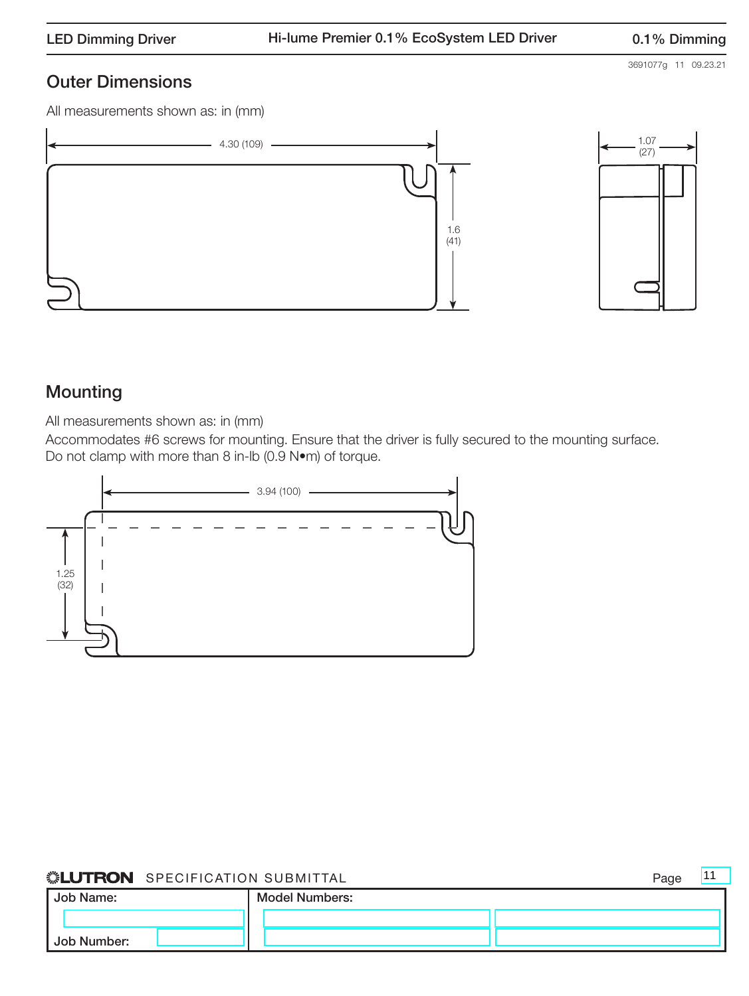## Outer Dimensions

All measurements shown as: in (mm)





## Mounting

All measurements shown as: in (mm)

Accommodates #6 screws for mounting. Ensure that the driver is fully secured to the mounting surface. Do not clamp with more than 8 in-lb (0.9 N•m) of torque.



## **SELUTRON** SPECIFICATION SUBMITTAL **Example 20** Page

Job Name: Job Number: Model Numbers: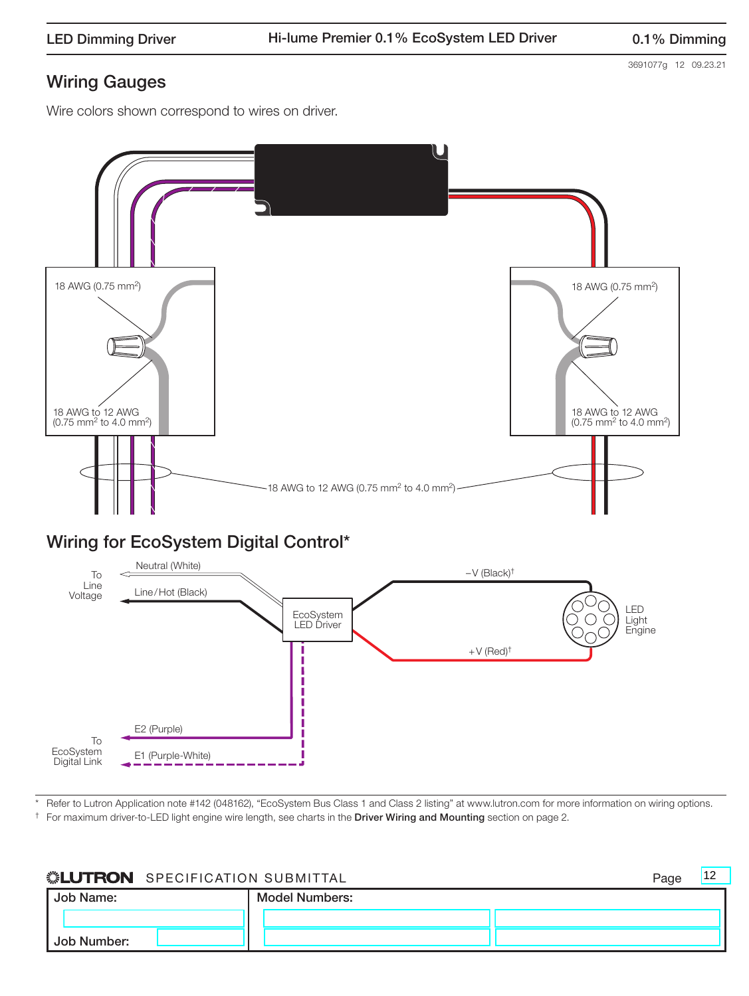3691077g 12 09.23.21

### Wire colors shown correspond to wires on driver.



\* Refer to Lutron Application note #142 (048162), "EcoSystem Bus Class 1 and Class 2 listing" at www.lutron.com for more information on wiring options.

 $\dagger$  For maximum driver-to-LED light engine wire length, see charts in the Driver Wiring and Mounting section on page 2.

E2 (Purple)

To **EcoSystem** Digital Link

E1 (Purple-White)

| <b><i>SEUTRON</i></b> SPECIFICATION SUBMITTAL |                       |  |  |  |
|-----------------------------------------------|-----------------------|--|--|--|
| Job Name:                                     | <b>Model Numbers:</b> |  |  |  |
|                                               |                       |  |  |  |
| Job Number:                                   |                       |  |  |  |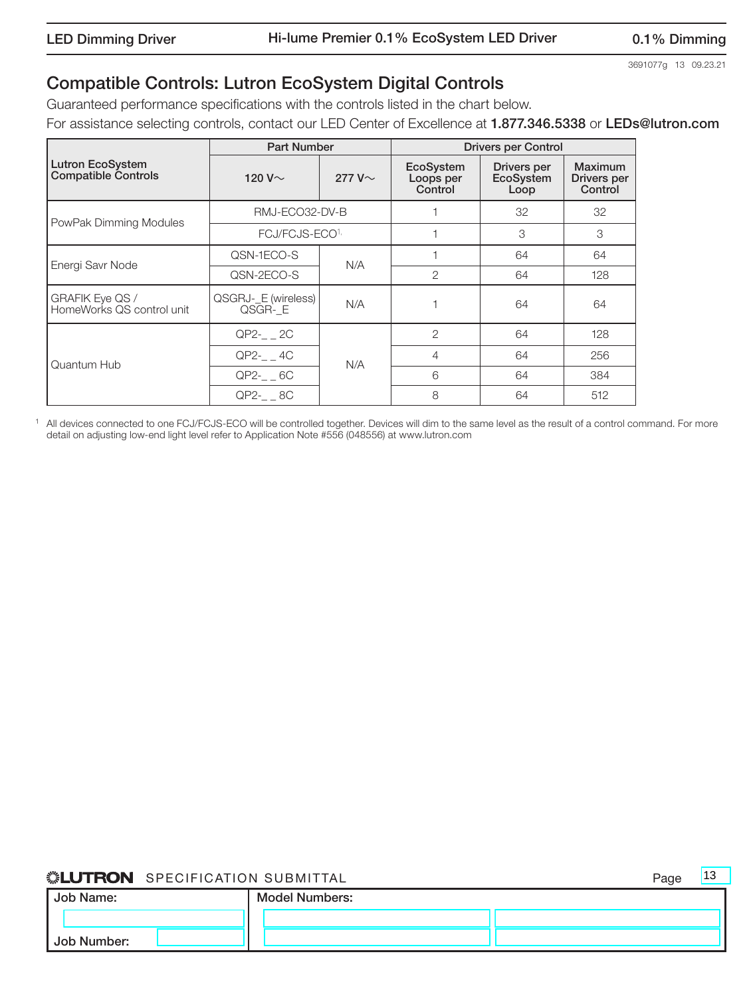$|13$ 

## Compatible Controls: Lutron EcoSystem Digital Controls

Guaranteed performance specifications with the controls listed in the chart below.

For assistance selecting controls, contact our LED Center of Excellence at 1.877.346.5338 or LEDs@lutron.com

|                                                | <b>Part Number</b>            |              | <b>Drivers per Control</b>        |                                         |                                   |  |
|------------------------------------------------|-------------------------------|--------------|-----------------------------------|-----------------------------------------|-----------------------------------|--|
| Lutron EcoSystem<br><b>Compatible Controls</b> | 120 V $\sim$                  | 277 V $\sim$ | EcoSystem<br>Loops per<br>Control | Drivers per<br><b>EcoSystem</b><br>Loop | Maximum<br>Drivers per<br>Control |  |
| PowPak Dimming Modules                         | RMJ-ECO32-DV-B                |              |                                   | 32                                      | 32                                |  |
|                                                | FCJ/FCJS-ECO <sup>1,</sup>    |              |                                   | 3                                       | 3                                 |  |
| Energi Savr Node                               | QSN-1ECO-S                    | N/A          |                                   | 64                                      | 64                                |  |
|                                                | QSN-2ECO-S                    |              | 2                                 | 64                                      | 128                               |  |
| GRAFIK Eye QS /<br>HomeWorks QS control unit   | QSGRJ-_E (wireless)<br>QSGR-E | N/A          |                                   | 64                                      | 64                                |  |
|                                                | $QP2-2C$                      |              | $\overline{2}$                    | 64                                      | 128                               |  |
| Quantum Hub                                    | QP2- 4C                       | N/A          | 4                                 | 64                                      | 256                               |  |
|                                                | $QP2-6C$                      |              | 6                                 | 64                                      | 384                               |  |
|                                                | QP2-__ 8C                     |              | 8                                 | 64                                      | 512                               |  |

<sup>1</sup> All devices connected to one FCJ/FCJS-ECO will be controlled together. Devices will dim to the same level as the result of a control command. For more detail on adjusting low-end light level refer to Application Note #556 (048556) at www.lutron.com

| Job Name: |             | <b>Model Numbers:</b> |  |  |  |
|-----------|-------------|-----------------------|--|--|--|
|           |             |                       |  |  |  |
|           | Job Number: |                       |  |  |  |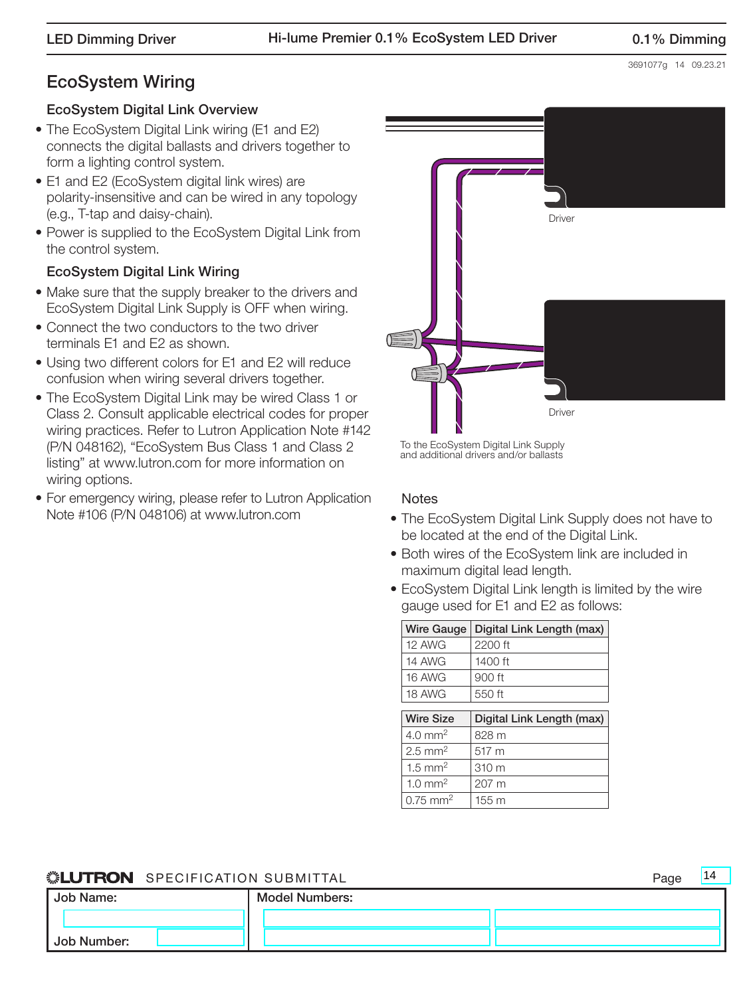## EcoSystem Wiring

## EcoSystem Digital Link Overview

- The EcoSystem Digital Link wiring (E1 and E2) connects the digital ballasts and drivers together to form a lighting control system.
- E1 and E2 (EcoSystem digital link wires) are polarity-insensitive and can be wired in any topology (e.g., T-tap and daisy-chain).
- Power is supplied to the EcoSystem Digital Link from the control system.

## EcoSystem Digital Link Wiring

- Make sure that the supply breaker to the drivers and EcoSystem Digital Link Supply is OFF when wiring.
- Connect the two conductors to the two driver terminals E1 and E2 as shown.
- Using two different colors for E1 and E2 will reduce confusion when wiring several drivers together.
- The EcoSystem Digital Link may be wired Class 1 or Class 2. Consult applicable electrical codes for proper wiring practices. Refer to Lutron Application Note #142 (P/N 048162), "EcoSystem Bus Class 1 and Class 2 listing" at www.lutron.com for more information on wiring options.
- For emergency wiring, please refer to Lutron Application Note #106 (P/N 048106) at www.lutron.com



To the EcoSystem Digital Link Supply and additional drivers and/or ballasts

## **Notes**

- The EcoSystem Digital Link Supply does not have to be located at the end of the Digital Link.
- Both wires of the EcoSystem link are included in maximum digital lead length.
- EcoSystem Digital Link length is limited by the wire gauge used for E1 and E2 as follows:

| <b>Wire Gauge</b>     | Digital Link Length (max) |
|-----------------------|---------------------------|
| 12 AWG                | 2200 ft                   |
| <b>14 AWG</b>         | 1400 ft                   |
| 16 AWG                | 900 ft                    |
| 18 AWG                | 550 ft                    |
|                       |                           |
| <b>Wire Size</b>      | Digital Link Length (max) |
| $4.0$ mm <sup>2</sup> | 828 m                     |
| $2.5 \text{ mm}^2$    | 517 m                     |
| $1.5 \text{ mm}^2$    | 310 m                     |
|                       |                           |
| $1.0 \text{ mm}^2$    | 207 m                     |

## ® SPECIFICATION SUBMITTAL Page Job Name: Job Number: Model Numbers: 14